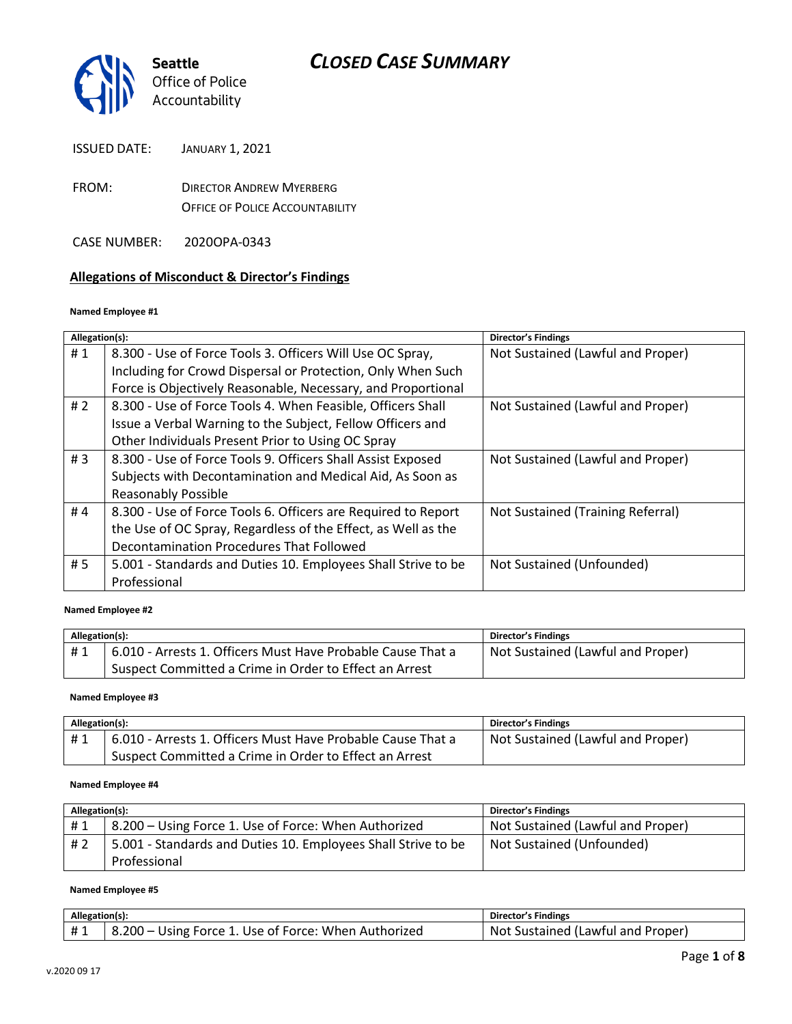

ISSUED DATE: JANUARY 1, 2021

- FROM: DIRECTOR ANDREW MYERBERG OFFICE OF POLICE ACCOUNTABILITY
- CASE NUMBER: 2020OPA-0343

#### **Allegations of Misconduct & Director's Findings**

#### **Named Employee #1**

| Allegation(s): |                                                               | <b>Director's Findings</b>        |
|----------------|---------------------------------------------------------------|-----------------------------------|
| #1             | 8.300 - Use of Force Tools 3. Officers Will Use OC Spray,     | Not Sustained (Lawful and Proper) |
|                | Including for Crowd Dispersal or Protection, Only When Such   |                                   |
|                | Force is Objectively Reasonable, Necessary, and Proportional  |                                   |
| #2             | 8.300 - Use of Force Tools 4. When Feasible, Officers Shall   | Not Sustained (Lawful and Proper) |
|                | Issue a Verbal Warning to the Subject, Fellow Officers and    |                                   |
|                | Other Individuals Present Prior to Using OC Spray             |                                   |
| #3             | 8.300 - Use of Force Tools 9. Officers Shall Assist Exposed   | Not Sustained (Lawful and Proper) |
|                | Subjects with Decontamination and Medical Aid, As Soon as     |                                   |
|                | <b>Reasonably Possible</b>                                    |                                   |
| #4             | 8.300 - Use of Force Tools 6. Officers are Required to Report | Not Sustained (Training Referral) |
|                | the Use of OC Spray, Regardless of the Effect, as Well as the |                                   |
|                | Decontamination Procedures That Followed                      |                                   |
| # 5            | 5.001 - Standards and Duties 10. Employees Shall Strive to be | Not Sustained (Unfounded)         |
|                | Professional                                                  |                                   |
|                |                                                               |                                   |

#### **Named Employee #2**

| Allegation(s): |                                                             | <b>Director's Findings</b>        |
|----------------|-------------------------------------------------------------|-----------------------------------|
| #1             | 6.010 - Arrests 1. Officers Must Have Probable Cause That a | Not Sustained (Lawful and Proper) |
|                | Suspect Committed a Crime in Order to Effect an Arrest      |                                   |

#### **Named Employee #3**

| Allegation(s): |                                                             | Director's Findings               |
|----------------|-------------------------------------------------------------|-----------------------------------|
| #1             | 6.010 - Arrests 1. Officers Must Have Probable Cause That a | Not Sustained (Lawful and Proper) |
|                | Suspect Committed a Crime in Order to Effect an Arrest      |                                   |

#### **Named Employee #4**

| Allegation(s): |                                                               | <b>Director's Findings</b>        |
|----------------|---------------------------------------------------------------|-----------------------------------|
| #1             | 8.200 – Using Force 1. Use of Force: When Authorized          | Not Sustained (Lawful and Proper) |
| # 2            | 5.001 - Standards and Duties 10. Employees Shall Strive to be | Not Sustained (Unfounded)         |
|                | Professional                                                  |                                   |

#### **Named Employee #5**

| Allegation(s): |                                                           | Director's Findings                           |
|----------------|-----------------------------------------------------------|-----------------------------------------------|
| ᅲᆚ             | $3.200 -$<br>Using Force 1. Use of Force: When Authorized | : Sustained (Lawful and Proper)<br><b>Not</b> |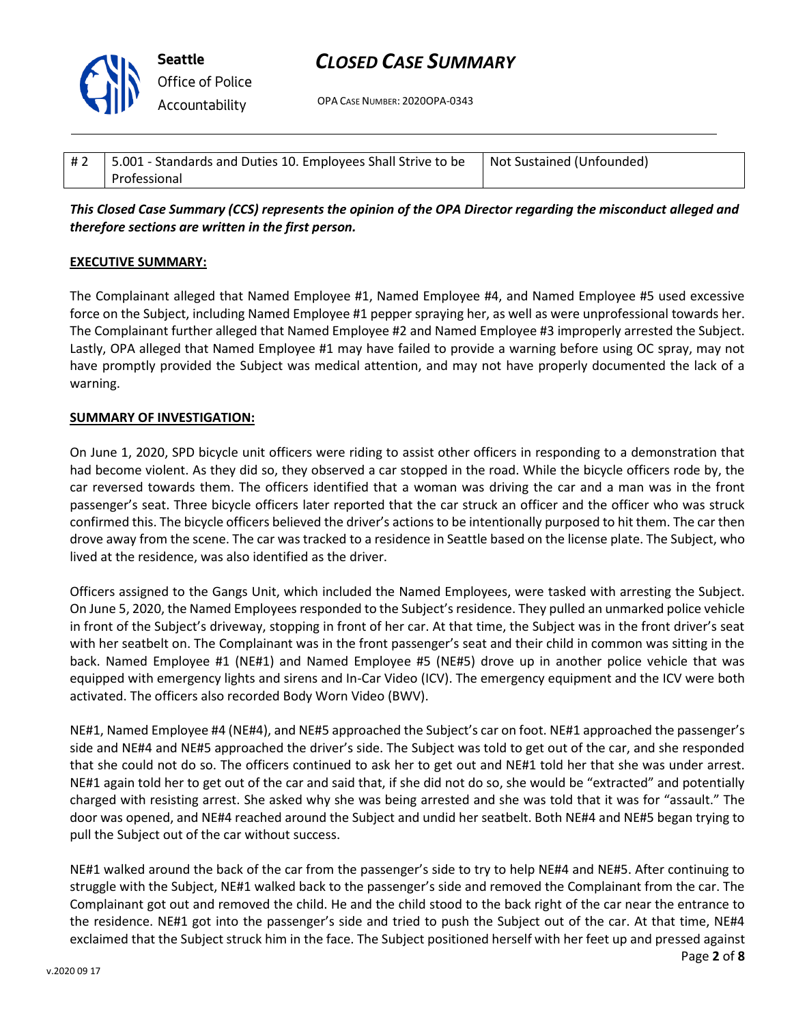

OPA CASE NUMBER: 2020OPA-0343

| #2 | 5.001 - Standards and Duties 10. Employees Shall Strive to be | Not Sustained (Unfounded) |
|----|---------------------------------------------------------------|---------------------------|
|    | Professional                                                  |                           |

*This Closed Case Summary (CCS) represents the opinion of the OPA Director regarding the misconduct alleged and therefore sections are written in the first person.* 

#### **EXECUTIVE SUMMARY:**

The Complainant alleged that Named Employee #1, Named Employee #4, and Named Employee #5 used excessive force on the Subject, including Named Employee #1 pepper spraying her, as well as were unprofessional towards her. The Complainant further alleged that Named Employee #2 and Named Employee #3 improperly arrested the Subject. Lastly, OPA alleged that Named Employee #1 may have failed to provide a warning before using OC spray, may not have promptly provided the Subject was medical attention, and may not have properly documented the lack of a warning.

#### **SUMMARY OF INVESTIGATION:**

On June 1, 2020, SPD bicycle unit officers were riding to assist other officers in responding to a demonstration that had become violent. As they did so, they observed a car stopped in the road. While the bicycle officers rode by, the car reversed towards them. The officers identified that a woman was driving the car and a man was in the front passenger's seat. Three bicycle officers later reported that the car struck an officer and the officer who was struck confirmed this. The bicycle officers believed the driver's actions to be intentionally purposed to hit them. The car then drove away from the scene. The car was tracked to a residence in Seattle based on the license plate. The Subject, who lived at the residence, was also identified as the driver.

Officers assigned to the Gangs Unit, which included the Named Employees, were tasked with arresting the Subject. On June 5, 2020, the Named Employees responded to the Subject's residence. They pulled an unmarked police vehicle in front of the Subject's driveway, stopping in front of her car. At that time, the Subject was in the front driver's seat with her seatbelt on. The Complainant was in the front passenger's seat and their child in common was sitting in the back. Named Employee #1 (NE#1) and Named Employee #5 (NE#5) drove up in another police vehicle that was equipped with emergency lights and sirens and In-Car Video (ICV). The emergency equipment and the ICV were both activated. The officers also recorded Body Worn Video (BWV).

NE#1, Named Employee #4 (NE#4), and NE#5 approached the Subject's car on foot. NE#1 approached the passenger's side and NE#4 and NE#5 approached the driver's side. The Subject was told to get out of the car, and she responded that she could not do so. The officers continued to ask her to get out and NE#1 told her that she was under arrest. NE#1 again told her to get out of the car and said that, if she did not do so, she would be "extracted" and potentially charged with resisting arrest. She asked why she was being arrested and she was told that it was for "assault." The door was opened, and NE#4 reached around the Subject and undid her seatbelt. Both NE#4 and NE#5 began trying to pull the Subject out of the car without success.

NE#1 walked around the back of the car from the passenger's side to try to help NE#4 and NE#5. After continuing to struggle with the Subject, NE#1 walked back to the passenger's side and removed the Complainant from the car. The Complainant got out and removed the child. He and the child stood to the back right of the car near the entrance to the residence. NE#1 got into the passenger's side and tried to push the Subject out of the car. At that time, NE#4 exclaimed that the Subject struck him in the face. The Subject positioned herself with her feet up and pressed against

Page **2** of **8**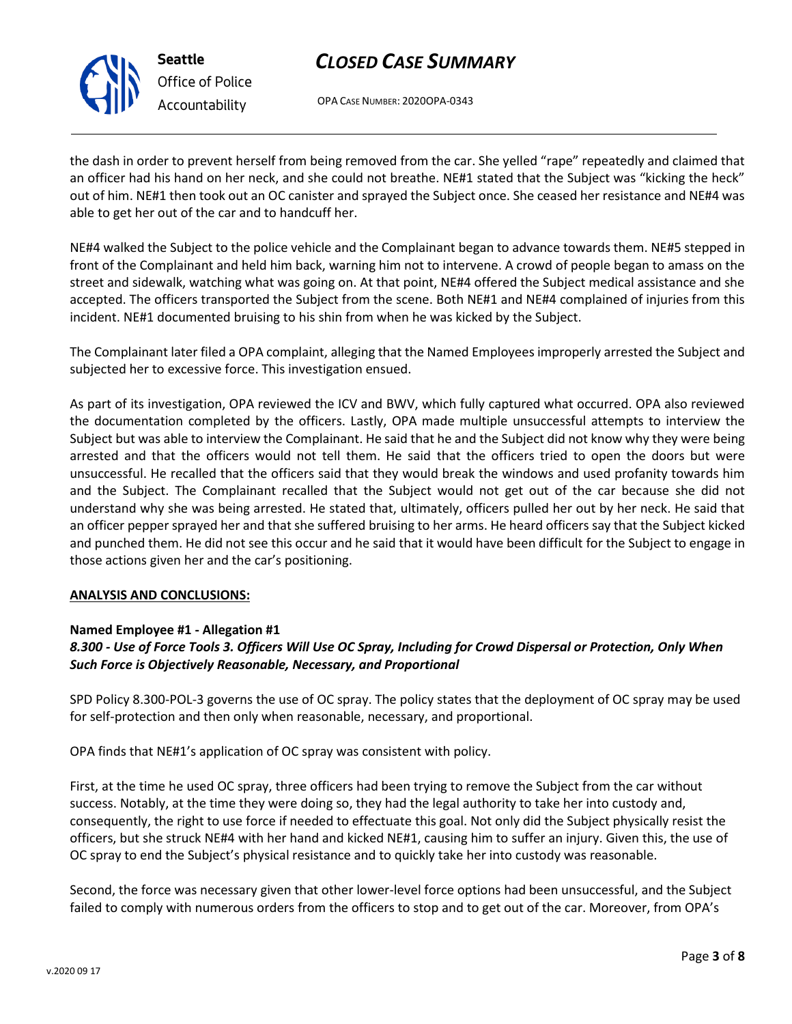

**Seattle** *Office of Police Accountability*

# *CLOSED CASE SUMMARY*

OPA CASE NUMBER: 2020OPA-0343

the dash in order to prevent herself from being removed from the car. She yelled "rape" repeatedly and claimed that an officer had his hand on her neck, and she could not breathe. NE#1 stated that the Subject was "kicking the heck" out of him. NE#1 then took out an OC canister and sprayed the Subject once. She ceased her resistance and NE#4 was able to get her out of the car and to handcuff her.

NE#4 walked the Subject to the police vehicle and the Complainant began to advance towards them. NE#5 stepped in front of the Complainant and held him back, warning him not to intervene. A crowd of people began to amass on the street and sidewalk, watching what was going on. At that point, NE#4 offered the Subject medical assistance and she accepted. The officers transported the Subject from the scene. Both NE#1 and NE#4 complained of injuries from this incident. NE#1 documented bruising to his shin from when he was kicked by the Subject.

The Complainant later filed a OPA complaint, alleging that the Named Employees improperly arrested the Subject and subjected her to excessive force. This investigation ensued.

As part of its investigation, OPA reviewed the ICV and BWV, which fully captured what occurred. OPA also reviewed the documentation completed by the officers. Lastly, OPA made multiple unsuccessful attempts to interview the Subject but was able to interview the Complainant. He said that he and the Subject did not know why they were being arrested and that the officers would not tell them. He said that the officers tried to open the doors but were unsuccessful. He recalled that the officers said that they would break the windows and used profanity towards him and the Subject. The Complainant recalled that the Subject would not get out of the car because she did not understand why she was being arrested. He stated that, ultimately, officers pulled her out by her neck. He said that an officer pepper sprayed her and that she suffered bruising to her arms. He heard officers say that the Subject kicked and punched them. He did not see this occur and he said that it would have been difficult for the Subject to engage in those actions given her and the car's positioning.

### **ANALYSIS AND CONCLUSIONS:**

### **Named Employee #1 - Allegation #1**

## *8.300 - Use of Force Tools 3. Officers Will Use OC Spray, Including for Crowd Dispersal or Protection, Only When Such Force is Objectively Reasonable, Necessary, and Proportional*

SPD Policy 8.300-POL-3 governs the use of OC spray. The policy states that the deployment of OC spray may be used for self-protection and then only when reasonable, necessary, and proportional.

OPA finds that NE#1's application of OC spray was consistent with policy.

First, at the time he used OC spray, three officers had been trying to remove the Subject from the car without success. Notably, at the time they were doing so, they had the legal authority to take her into custody and, consequently, the right to use force if needed to effectuate this goal. Not only did the Subject physically resist the officers, but she struck NE#4 with her hand and kicked NE#1, causing him to suffer an injury. Given this, the use of OC spray to end the Subject's physical resistance and to quickly take her into custody was reasonable.

Second, the force was necessary given that other lower-level force options had been unsuccessful, and the Subject failed to comply with numerous orders from the officers to stop and to get out of the car. Moreover, from OPA's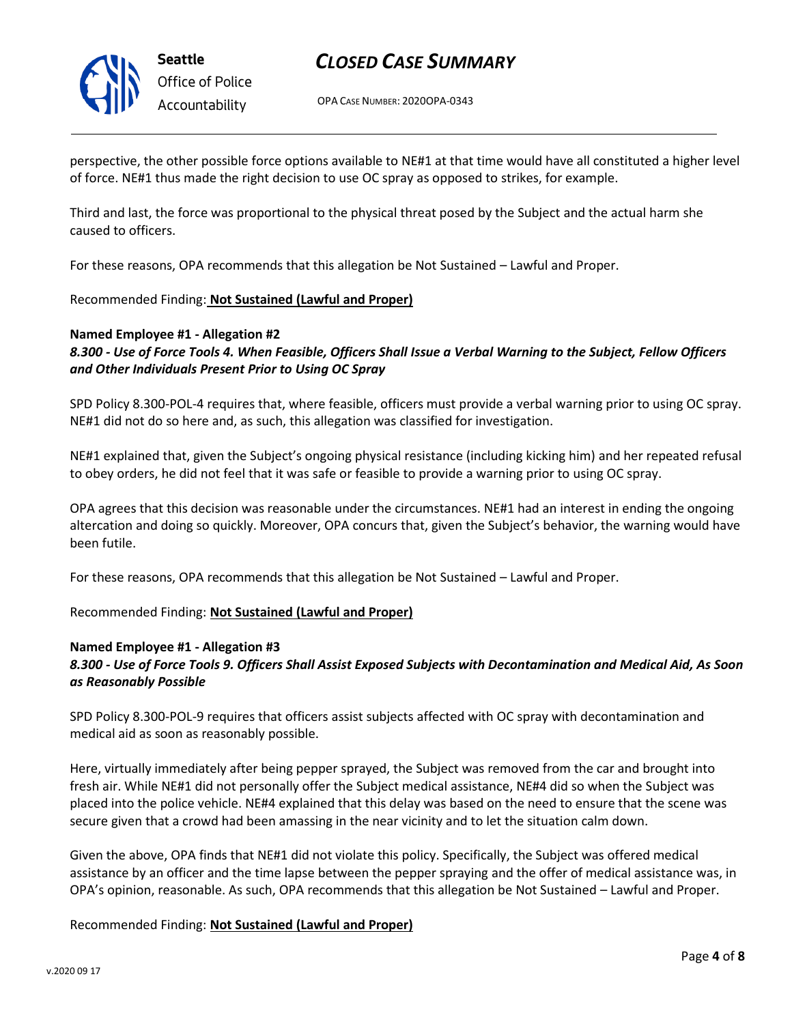

**Seattle** *Office of Police Accountability*

# *CLOSED CASE SUMMARY*

OPA CASE NUMBER: 2020OPA-0343

perspective, the other possible force options available to NE#1 at that time would have all constituted a higher level of force. NE#1 thus made the right decision to use OC spray as opposed to strikes, for example.

Third and last, the force was proportional to the physical threat posed by the Subject and the actual harm she caused to officers.

For these reasons, OPA recommends that this allegation be Not Sustained – Lawful and Proper.

#### Recommended Finding: **Not Sustained (Lawful and Proper)**

#### **Named Employee #1 - Allegation #2**

*8.300 - Use of Force Tools 4. When Feasible, Officers Shall Issue a Verbal Warning to the Subject, Fellow Officers and Other Individuals Present Prior to Using OC Spray*

SPD Policy 8.300-POL-4 requires that, where feasible, officers must provide a verbal warning prior to using OC spray. NE#1 did not do so here and, as such, this allegation was classified for investigation.

NE#1 explained that, given the Subject's ongoing physical resistance (including kicking him) and her repeated refusal to obey orders, he did not feel that it was safe or feasible to provide a warning prior to using OC spray.

OPA agrees that this decision was reasonable under the circumstances. NE#1 had an interest in ending the ongoing altercation and doing so quickly. Moreover, OPA concurs that, given the Subject's behavior, the warning would have been futile.

For these reasons, OPA recommends that this allegation be Not Sustained – Lawful and Proper.

#### Recommended Finding: **Not Sustained (Lawful and Proper)**

#### **Named Employee #1 - Allegation #3**

### *8.300 - Use of Force Tools 9. Officers Shall Assist Exposed Subjects with Decontamination and Medical Aid, As Soon as Reasonably Possible*

SPD Policy 8.300-POL-9 requires that officers assist subjects affected with OC spray with decontamination and medical aid as soon as reasonably possible.

Here, virtually immediately after being pepper sprayed, the Subject was removed from the car and brought into fresh air. While NE#1 did not personally offer the Subject medical assistance, NE#4 did so when the Subject was placed into the police vehicle. NE#4 explained that this delay was based on the need to ensure that the scene was secure given that a crowd had been amassing in the near vicinity and to let the situation calm down.

Given the above, OPA finds that NE#1 did not violate this policy. Specifically, the Subject was offered medical assistance by an officer and the time lapse between the pepper spraying and the offer of medical assistance was, in OPA's opinion, reasonable. As such, OPA recommends that this allegation be Not Sustained – Lawful and Proper.

Recommended Finding: **Not Sustained (Lawful and Proper)**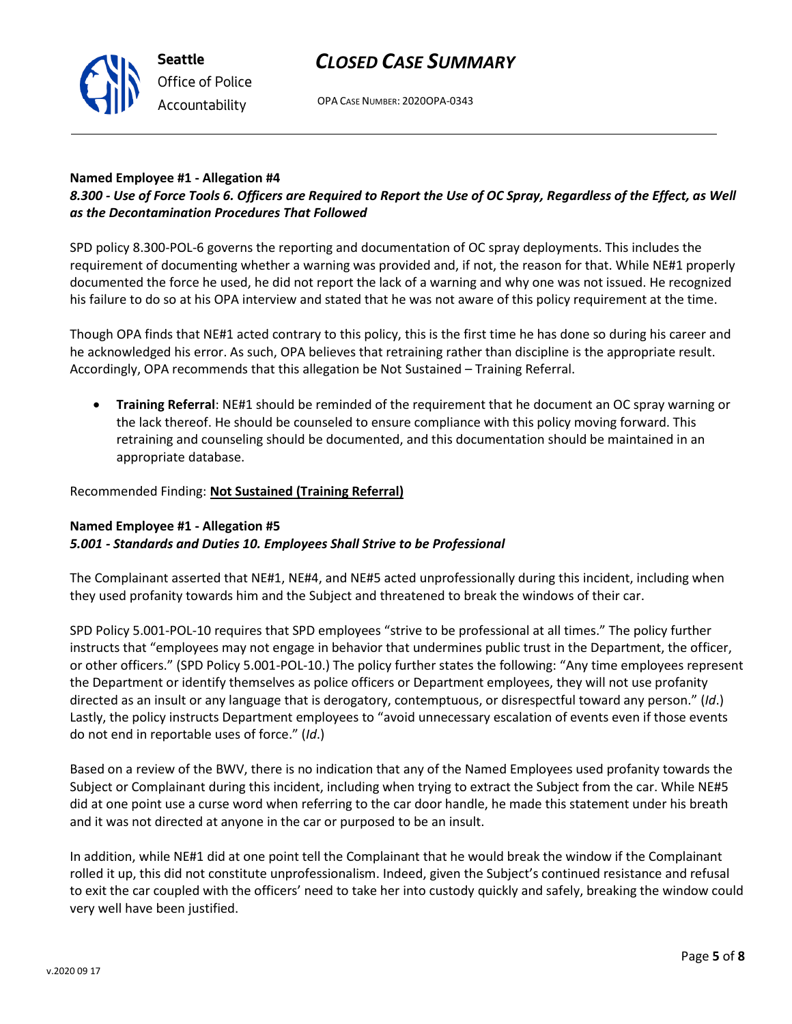

OPA CASE NUMBER: 2020OPA-0343

#### **Named Employee #1 - Allegation #4**

### *8.300 - Use of Force Tools 6. Officers are Required to Report the Use of OC Spray, Regardless of the Effect, as Well as the Decontamination Procedures That Followed*

SPD policy 8.300-POL-6 governs the reporting and documentation of OC spray deployments. This includes the requirement of documenting whether a warning was provided and, if not, the reason for that. While NE#1 properly documented the force he used, he did not report the lack of a warning and why one was not issued. He recognized his failure to do so at his OPA interview and stated that he was not aware of this policy requirement at the time.

Though OPA finds that NE#1 acted contrary to this policy, this is the first time he has done so during his career and he acknowledged his error. As such, OPA believes that retraining rather than discipline is the appropriate result. Accordingly, OPA recommends that this allegation be Not Sustained – Training Referral.

• **Training Referral**: NE#1 should be reminded of the requirement that he document an OC spray warning or the lack thereof. He should be counseled to ensure compliance with this policy moving forward. This retraining and counseling should be documented, and this documentation should be maintained in an appropriate database.

#### Recommended Finding: **Not Sustained (Training Referral)**

### **Named Employee #1 - Allegation #5** *5.001 - Standards and Duties 10. Employees Shall Strive to be Professional*

The Complainant asserted that NE#1, NE#4, and NE#5 acted unprofessionally during this incident, including when they used profanity towards him and the Subject and threatened to break the windows of their car.

SPD Policy 5.001-POL-10 requires that SPD employees "strive to be professional at all times." The policy further instructs that "employees may not engage in behavior that undermines public trust in the Department, the officer, or other officers." (SPD Policy 5.001-POL-10.) The policy further states the following: "Any time employees represent the Department or identify themselves as police officers or Department employees, they will not use profanity directed as an insult or any language that is derogatory, contemptuous, or disrespectful toward any person." (*Id*.) Lastly, the policy instructs Department employees to "avoid unnecessary escalation of events even if those events do not end in reportable uses of force." (*Id*.)

Based on a review of the BWV, there is no indication that any of the Named Employees used profanity towards the Subject or Complainant during this incident, including when trying to extract the Subject from the car. While NE#5 did at one point use a curse word when referring to the car door handle, he made this statement under his breath and it was not directed at anyone in the car or purposed to be an insult.

In addition, while NE#1 did at one point tell the Complainant that he would break the window if the Complainant rolled it up, this did not constitute unprofessionalism. Indeed, given the Subject's continued resistance and refusal to exit the car coupled with the officers' need to take her into custody quickly and safely, breaking the window could very well have been justified.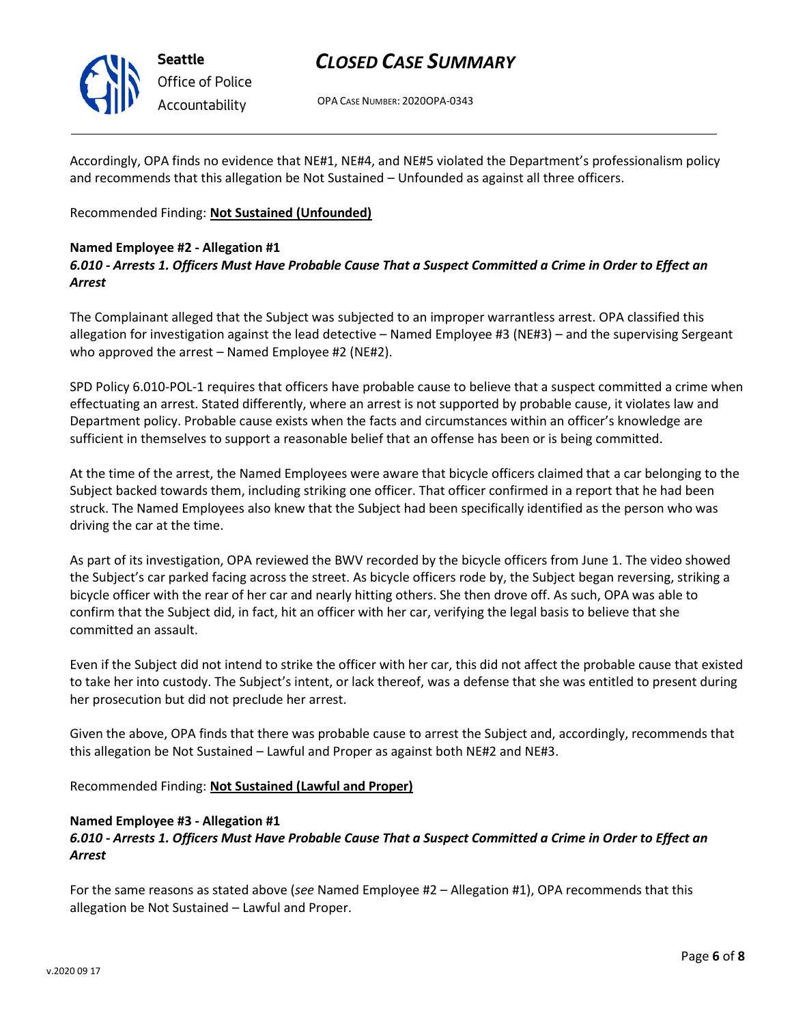

OPA CASE NUMBER: 2020OPA-0343

Accordingly, OPA finds no evidence that NE#1, NE#4, and NE#5 violated the Department's professionalism policy and recommends that this allegation be Not Sustained – Unfounded as against all three officers.

Recommended Finding: **Not Sustained (Unfounded)**

#### **Named Employee #2 - Allegation #1**

*6.010 - Arrests 1. Officers Must Have Probable Cause That a Suspect Committed a Crime in Order to Effect an Arrest*

The Complainant alleged that the Subject was subjected to an improper warrantless arrest. OPA classified this allegation for investigation against the lead detective – Named Employee #3 (NE#3) – and the supervising Sergeant who approved the arrest – Named Employee #2 (NE#2).

SPD Policy 6.010-POL-1 requires that officers have probable cause to believe that a suspect committed a crime when effectuating an arrest. Stated differently, where an arrest is not supported by probable cause, it violates law and Department policy. Probable cause exists when the facts and circumstances within an officer's knowledge are sufficient in themselves to support a reasonable belief that an offense has been or is being committed.

At the time of the arrest, the Named Employees were aware that bicycle officers claimed that a car belonging to the Subject backed towards them, including striking one officer. That officer confirmed in a report that he had been struck. The Named Employees also knew that the Subject had been specifically identified as the person who was driving the car at the time.

As part of its investigation, OPA reviewed the BWV recorded by the bicycle officers from June 1. The video showed the Subject's car parked facing across the street. As bicycle officers rode by, the Subject began reversing, striking a bicycle officer with the rear of her car and nearly hitting others. She then drove off. As such, OPA was able to confirm that the Subject did, in fact, hit an officer with her car, verifying the legal basis to believe that she committed an assault.

Even if the Subject did not intend to strike the officer with her car, this did not affect the probable cause that existed to take her into custody. The Subject's intent, or lack thereof, was a defense that she was entitled to present during her prosecution but did not preclude her arrest.

Given the above, OPA finds that there was probable cause to arrest the Subject and, accordingly, recommends that this allegation be Not Sustained – Lawful and Proper as against both NE#2 and NE#3.

Recommended Finding: **Not Sustained (Lawful and Proper)**

#### **Named Employee #3 - Allegation #1**

### *6.010 - Arrests 1. Officers Must Have Probable Cause That a Suspect Committed a Crime in Order to Effect an Arrest*

For the same reasons as stated above (*see* Named Employee #2 – Allegation #1), OPA recommends that this allegation be Not Sustained – Lawful and Proper.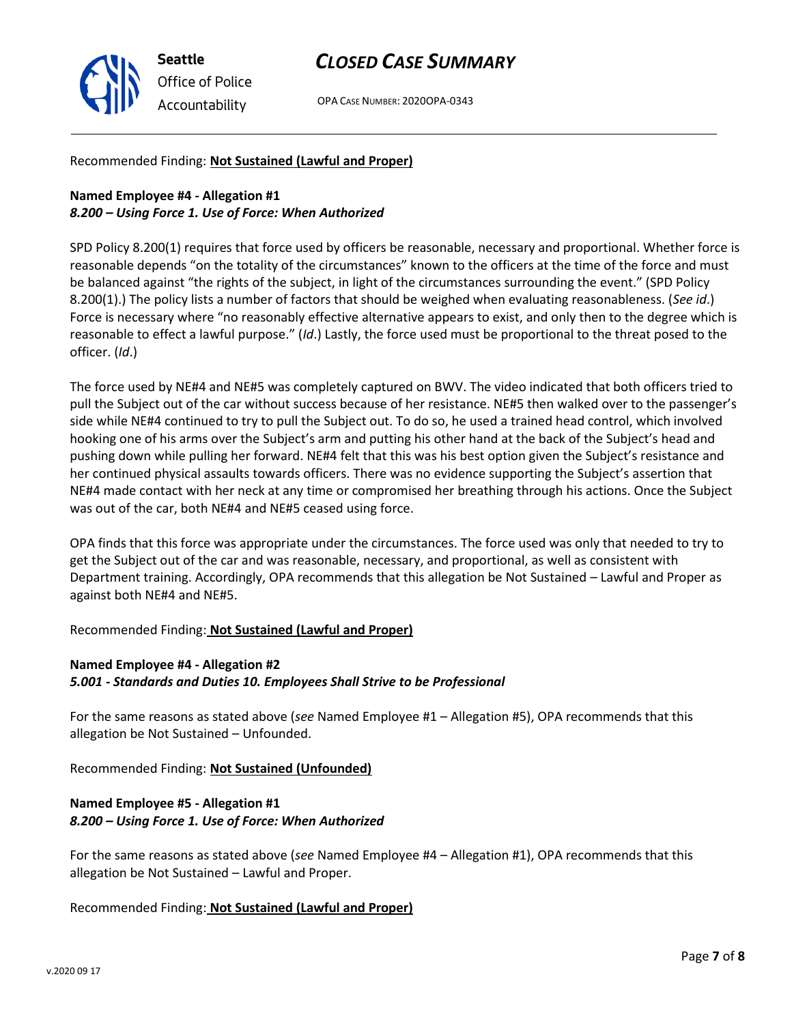

OPA CASE NUMBER: 2020OPA-0343

#### Recommended Finding: **Not Sustained (Lawful and Proper)**

### **Named Employee #4 - Allegation #1** *8.200 – Using Force 1. Use of Force: When Authorized*

SPD Policy 8.200(1) requires that force used by officers be reasonable, necessary and proportional. Whether force is reasonable depends "on the totality of the circumstances" known to the officers at the time of the force and must be balanced against "the rights of the subject, in light of the circumstances surrounding the event." (SPD Policy 8.200(1).) The policy lists a number of factors that should be weighed when evaluating reasonableness. (*See id*.) Force is necessary where "no reasonably effective alternative appears to exist, and only then to the degree which is reasonable to effect a lawful purpose." (*Id*.) Lastly, the force used must be proportional to the threat posed to the officer. (*Id*.)

The force used by NE#4 and NE#5 was completely captured on BWV. The video indicated that both officers tried to pull the Subject out of the car without success because of her resistance. NE#5 then walked over to the passenger's side while NE#4 continued to try to pull the Subject out. To do so, he used a trained head control, which involved hooking one of his arms over the Subject's arm and putting his other hand at the back of the Subject's head and pushing down while pulling her forward. NE#4 felt that this was his best option given the Subject's resistance and her continued physical assaults towards officers. There was no evidence supporting the Subject's assertion that NE#4 made contact with her neck at any time or compromised her breathing through his actions. Once the Subject was out of the car, both NE#4 and NE#5 ceased using force.

OPA finds that this force was appropriate under the circumstances. The force used was only that needed to try to get the Subject out of the car and was reasonable, necessary, and proportional, as well as consistent with Department training. Accordingly, OPA recommends that this allegation be Not Sustained – Lawful and Proper as against both NE#4 and NE#5.

#### Recommended Finding: **Not Sustained (Lawful and Proper)**

#### **Named Employee #4 - Allegation #2** *5.001 - Standards and Duties 10. Employees Shall Strive to be Professional*

For the same reasons as stated above (*see* Named Employee #1 – Allegation #5), OPA recommends that this allegation be Not Sustained – Unfounded.

Recommended Finding: **Not Sustained (Unfounded)**

### **Named Employee #5 - Allegation #1** *8.200 – Using Force 1. Use of Force: When Authorized*

For the same reasons as stated above (*see* Named Employee #4 – Allegation #1), OPA recommends that this allegation be Not Sustained – Lawful and Proper.

#### Recommended Finding: **Not Sustained (Lawful and Proper)**